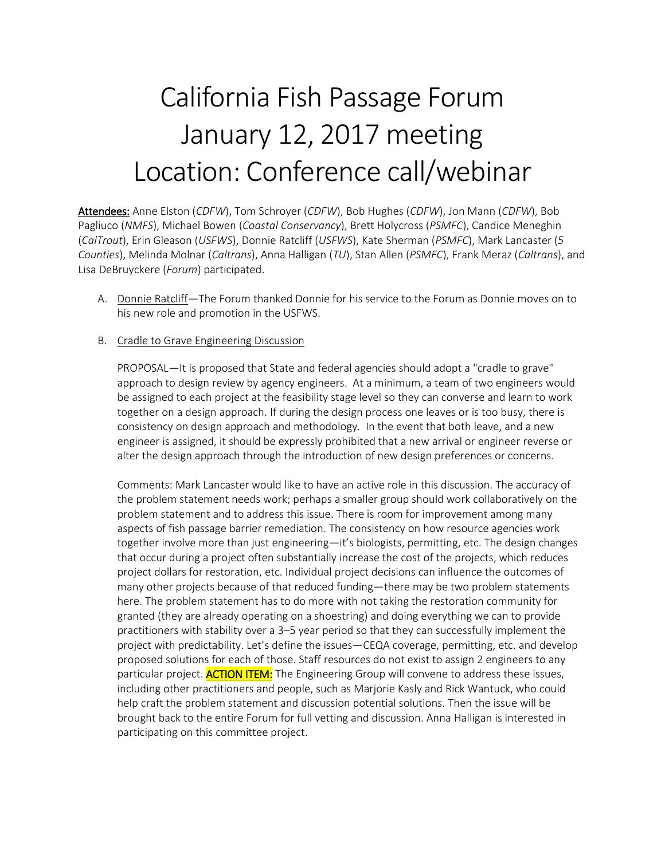# California Fish Passage Forum January 12, 2017 meeting Location: Conference call/webinar

Attendees: Anne Elston (*CDFW*), Tom Schroyer (*CDFW*), Bob Hughes (*CDFW*), Jon Mann (*CDFW*), Bob Pagliuco (*NMFS*), Michael Bowen (*Coastal Conservancy*), Brett Holycross (*PSMFC*), Candice Meneghin (*CalTrout*), Erin Gleason (*USFWS*), Donnie Ratcliff (*USFWS*), Kate Sherman (*PSMFC*), Mark Lancaster (*5 Counties*), Melinda Molnar (*Caltrans*), Anna Halligan (*TU*), Stan Allen (*PSMFC*), Frank Meraz (*Caltrans*), and Lisa DeBruyckere (*Forum*) participated.

- A. Donnie Ratcliff-The Forum thanked Donnie for his service to the Forum as Donnie moves on to his new role and promotion in the USFWS.
- B. Cradle to Grave Engineering Discussion

PROPOSAL—It is proposed that State and federal agencies should adopt a "cradle to grave" approach to design review by agency engineers. At a minimum, a team of two engineers would be assigned to each project at the feasibility stage level so they can converse and learn to work together on a design approach. If during the design process one leaves or is too busy, there is consistency on design approach and methodology. In the event that both leave, and a new engineer is assigned, it should be expressly prohibited that a new arrival or engineer reverse or alter the design approach through the introduction of new design preferences or concerns.

Comments: Mark Lancaster would like to have an active role in this discussion. The accuracy of the problem statement needs work; perhaps a smaller group should work collaboratively on the problem statement and to address this issue. There is room for improvement among many aspects of fish passage barrier remediation. The consistency on how resource agencies work together involve more than just engineering—it's biologists, permitting, etc. The design changes that occur during a project often substantially increase the cost of the projects, which reduces project dollars for restoration, etc. Individual project decisions can influence the outcomes of many other projects because of that reduced funding—there may be two problem statements here. The problem statement has to do more with not taking the restoration community for granted (they are already operating on a shoestring) and doing everything we can to provide practitioners with stability over a 3–5 year period so that they can successfully implement the project with predictability. Let's define the issues—CEQA coverage, permitting, etc. and develop proposed solutions for each of those. Staff resources do not exist to assign 2 engineers to any particular project. **ACTION ITEM:** The Engineering Group will convene to address these issues, including other practitioners and people, such as Marjorie Kasly and Rick Wantuck, who could help craft the problem statement and discussion potential solutions. Then the issue will be brought back to the entire Forum for full vetting and discussion. Anna Halligan is interested in participating on this committee project.